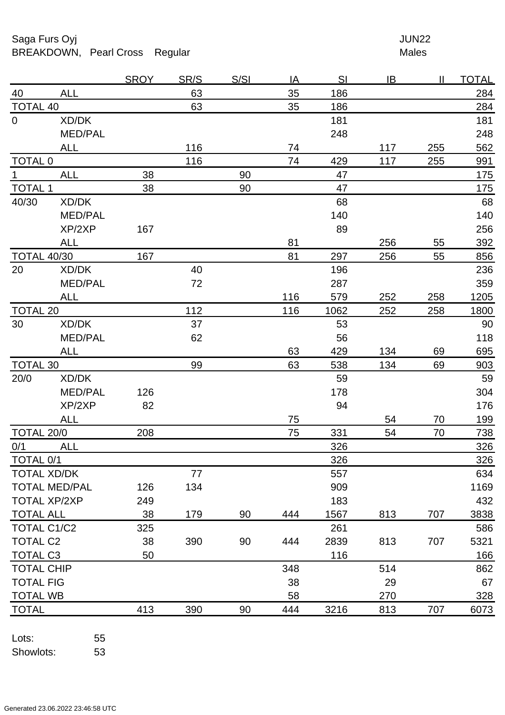Saga Furs Oyj and the Saga Furs Oyj and the Saga Furs of the Saga Furs of the Saga Furs of the Saga Furs of the Saga Furs of the Saga Furs of the Saga Furs of the Saga Furs of the Saga Furs of the Saga Furs of the Saga Fur BREAKDOWN, Pearl Cross Regular Males

|                     |                      | <b>SROY</b> | <u>SR/S</u> | <u>S/SI</u> | ΙA  | <u>SI</u> | IB  | Ш   | <u>TOTAL</u> |
|---------------------|----------------------|-------------|-------------|-------------|-----|-----------|-----|-----|--------------|
| 40                  | <b>ALL</b>           |             | 63          |             | 35  | 186       |     |     | 284          |
| <b>TOTAL 40</b>     |                      |             | 63          |             | 35  | 186       |     |     | 284          |
| $\overline{0}$      | XD/DK                |             |             |             |     | 181       |     |     | 181          |
|                     | <b>MED/PAL</b>       |             |             |             |     | 248       |     |     | 248          |
|                     | <b>ALL</b>           |             | 116         |             | 74  |           | 117 | 255 | 562          |
| <b>TOTAL 0</b>      |                      |             | 116         |             | 74  | 429       | 117 | 255 | 991          |
| 1 <sub>1</sub>      | <b>ALL</b>           | 38          |             | 90          |     | 47        |     |     | 175          |
| <b>TOTAL 1</b>      |                      | 38          |             | 90          |     | 47        |     |     | <u>175</u>   |
| 40/30               | XD/DK                |             |             |             |     | 68        |     |     | 68           |
|                     | <b>MED/PAL</b>       |             |             |             |     | 140       |     |     | 140          |
|                     | XP/2XP               | 167         |             |             |     | 89        |     |     | 256          |
|                     | <b>ALL</b>           |             |             |             | 81  |           | 256 | 55  | 392          |
| <b>TOTAL 40/30</b>  |                      | 167         |             |             | 81  | 297       | 256 | 55  | 856          |
| 20                  | XD/DK                |             | 40          |             |     | 196       |     |     | 236          |
|                     | <b>MED/PAL</b>       |             | 72          |             |     | 287       |     |     | 359          |
|                     | <b>ALL</b>           |             |             |             | 116 | 579       | 252 | 258 | 1205         |
| <b>TOTAL 20</b>     |                      |             | 112         |             | 116 | 1062      | 252 | 258 | 1800         |
| 30                  | XD/DK                |             | 37          |             |     | 53        |     |     | 90           |
|                     | <b>MED/PAL</b>       |             | 62          |             |     | 56        |     |     | 118          |
|                     | <b>ALL</b>           |             |             |             | 63  | 429       | 134 | 69  | 695          |
| <b>TOTAL 30</b>     |                      |             | 99          |             | 63  | 538       | 134 | 69  | 903          |
| 20/0                | XD/DK                |             |             |             |     | 59        |     |     | 59           |
|                     | <b>MED/PAL</b>       | 126         |             |             |     | 178       |     |     | 304          |
|                     | XP/2XP               | 82          |             |             |     | 94        |     |     | 176          |
|                     | <b>ALL</b>           |             |             |             | 75  |           | 54  | 70  | <u>199</u>   |
| TOTAL 20/0          |                      | 208         |             |             | 75  | 331       | 54  | 70  | 738          |
| 0/1                 | <b>ALL</b>           |             |             |             |     | 326       |     |     | 326          |
| TOTAL 0/1           |                      |             |             |             |     | 326       |     |     | 326          |
|                     | <b>TOTAL XD/DK</b>   |             | 77          |             |     | 557       |     |     | 634          |
|                     | <b>TOTAL MED/PAL</b> | 126         | 134         |             |     | 909       |     |     | 1169         |
| <b>TOTAL XP/2XP</b> |                      | 249         |             |             |     | 183       |     |     | 432          |
| <b>TOTAL ALL</b>    |                      | 38          | 179         | 90          | 444 | 1567      | 813 | 707 | 3838         |
| <b>TOTAL C1/C2</b>  |                      | 325         |             |             |     | 261       |     |     | 586          |
| <b>TOTAL C2</b>     |                      | 38          | 390         | 90          | 444 | 2839      | 813 | 707 | 5321         |
| <b>TOTAL C3</b>     |                      | 50          |             |             |     | 116       |     |     | 166          |
| <b>TOTAL CHIP</b>   |                      |             |             |             | 348 |           | 514 |     | 862          |
| <b>TOTAL FIG</b>    |                      |             |             |             | 38  |           | 29  |     | 67           |
| <b>TOTAL WB</b>     |                      |             |             |             | 58  |           | 270 |     | 328          |
| <b>TOTAL</b>        |                      | 413         | 390         | 90          | 444 | 3216      | 813 | 707 | 6073         |
|                     |                      |             |             |             |     |           |     |     |              |

Lots: 55 Showlots: 53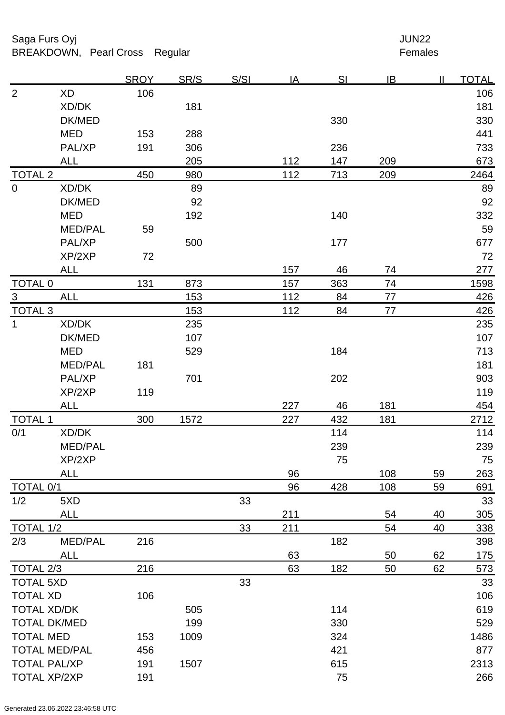## Saga Furs Oyj and the Saga Furs Oyj and the Saga Furs of the Saga Furs of the Saga Furs of the Saga Furs of the Saga Furs of the Saga Furs of the Saga Furs of the Saga Furs of the Saga Furs of the Saga Furs of the Saga Fur BREAKDOWN, Pearl Cross Regular Females

|                      |                | <b>SROY</b> | SR/S | S/SI | <u>IA</u> | <u>SI</u> | IB  | $\mathbf{I}$ | <b>TOTAL</b>    |
|----------------------|----------------|-------------|------|------|-----------|-----------|-----|--------------|-----------------|
| $\overline{2}$       | <b>XD</b>      | 106         |      |      |           |           |     |              | 106             |
|                      | XD/DK          |             | 181  |      |           |           |     |              | 181             |
|                      | DK/MED         |             |      |      |           | 330       |     |              | 330             |
|                      | <b>MED</b>     | 153         | 288  |      |           |           |     |              | 441             |
|                      | PAL/XP         | 191         | 306  |      |           | 236       |     |              | 733             |
|                      | <b>ALL</b>     |             | 205  |      | 112       | 147       | 209 |              | 673             |
| <b>TOTAL 2</b>       |                | 450         | 980  |      | 112       | 713       | 209 |              | 2464            |
| $\overline{0}$       | XD/DK          |             | 89   |      |           |           |     |              | 89              |
|                      | DK/MED         |             | 92   |      |           |           |     |              | 92              |
|                      | <b>MED</b>     |             | 192  |      |           | 140       |     |              | 332             |
|                      | <b>MED/PAL</b> | 59          |      |      |           |           |     |              | 59              |
|                      | PAL/XP         |             | 500  |      |           | 177       |     |              | 677             |
|                      | XP/2XP         | 72          |      |      |           |           |     |              | 72              |
|                      | <b>ALL</b>     |             |      |      | 157       | 46        | 74  |              | 277             |
| <b>TOTAL 0</b>       |                | 131         | 873  |      | 157       | 363       | 74  |              | 1598            |
| $\overline{3}$       | <b>ALL</b>     |             | 153  |      | 112       | 84        | 77  |              | 426             |
| <b>TOTAL 3</b>       |                |             | 153  |      | 112       | 84        | 77  |              | 426             |
| $\mathbf{1}$         | XD/DK          |             | 235  |      |           |           |     |              | 235             |
|                      | DK/MED         |             | 107  |      |           |           |     |              | 107             |
|                      | <b>MED</b>     |             | 529  |      |           | 184       |     |              | 713             |
|                      | <b>MED/PAL</b> | 181         |      |      |           |           |     |              | 181             |
|                      | PAL/XP         |             | 701  |      |           | 202       |     |              | 903             |
|                      | XP/2XP         | 119         |      |      |           |           |     |              | 119             |
|                      | <b>ALL</b>     |             |      |      | 227       | 46        | 181 |              | 454             |
| <b>TOTAL 1</b>       |                | 300         | 1572 |      | 227       | 432       | 181 |              | 2712            |
| 0/1                  | XD/DK          |             |      |      |           | 114       |     |              | 114             |
|                      | <b>MED/PAL</b> |             |      |      |           | 239       |     |              | 239             |
|                      | XP/2XP         |             |      |      |           | 75        |     |              | 75              |
|                      | <b>ALL</b>     |             |      |      | 96        |           | 108 | 59           | 263             |
| TOTAL 0/1            |                |             |      |      | 96        | 428       | 108 | 59           | 691             |
| 1/2                  | 5XD            |             |      | 33   |           |           |     |              | 33              |
|                      | <b>ALL</b>     |             |      |      | 211       |           | 54  | 40           | 30 <sub>5</sub> |
| TOTAL 1/2            |                |             |      | 33   | 211       |           | 54  | 40           | 338             |
| 2/3                  | <b>MED/PAL</b> | 216         |      |      |           | 182       |     |              | 398             |
|                      | <b>ALL</b>     |             |      |      | 63        |           | 50  | 62           | <u>175</u>      |
| TOTAL 2/3            |                | 216         |      |      | 63        | 182       | 50  | 62           | 573             |
| <b>TOTAL 5XD</b>     |                |             |      | 33   |           |           |     |              | 33              |
| <b>TOTAL XD</b>      |                | 106         |      |      |           |           |     |              | 106             |
| <b>TOTAL XD/DK</b>   |                |             | 505  |      |           | 114       |     |              | 619             |
| <b>TOTAL DK/MED</b>  |                |             | 199  |      |           | 330       |     |              | 529             |
| <b>TOTAL MED</b>     |                | 153         | 1009 |      |           | 324       |     |              | 1486            |
| <b>TOTAL MED/PAL</b> |                | 456         |      |      |           | 421       |     |              | 877             |
| <b>TOTAL PAL/XP</b>  |                | 191         | 1507 |      |           | 615       |     |              | 2313            |
| <b>TOTAL XP/2XP</b>  |                | 191         |      |      |           | 75        |     |              | 266             |